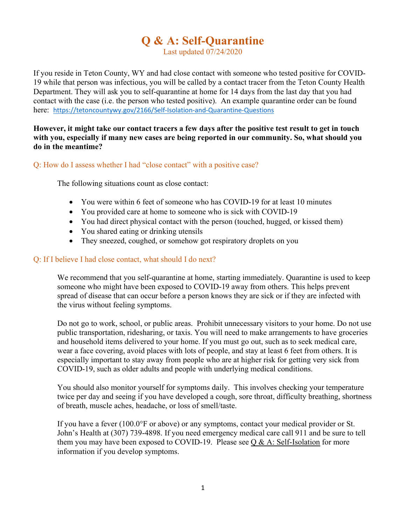# Q & A: Self-Quarantine

Last updated 07/24/2020

If you reside in Teton County, WY and had close contact with someone who tested positive for COVID-19 while that person was infectious, you will be called by a contact tracer from the Teton County Health Department. They will ask you to self-quarantine at home for 14 days from the last day that you had contact with the case (i.e. the person who tested positive). An example quarantine order can be found here: https://tetoncountywy.gov/2166/Self-Isolation-and-Quarantine-Questions

## However, it might take our contact tracers a few days after the positive test result to get in touch with you, especially if many new cases are being reported in our community. So, what should you do in the meantime?

Q: How do I assess whether I had "close contact" with a positive case?

The following situations count as close contact:

- You were within 6 feet of someone who has COVID-19 for at least 10 minutes
- You provided care at home to someone who is sick with COVID-19
- You had direct physical contact with the person (touched, hugged, or kissed them)
- You shared eating or drinking utensils
- They sneezed, coughed, or somehow got respiratory droplets on you

# Q: If I believe I had close contact, what should I do next?

We recommend that you self-quarantine at home, starting immediately. Quarantine is used to keep someone who might have been exposed to COVID-19 away from others. This helps prevent spread of disease that can occur before a person knows they are sick or if they are infected with the virus without feeling symptoms.

Do not go to work, school, or public areas. Prohibit unnecessary visitors to your home. Do not use public transportation, ridesharing, or taxis. You will need to make arrangements to have groceries and household items delivered to your home. If you must go out, such as to seek medical care, wear a face covering, avoid places with lots of people, and stay at least 6 feet from others. It is especially important to stay away from people who are at higher risk for getting very sick from COVID-19, such as older adults and people with underlying medical conditions.

You should also monitor yourself for symptoms daily. This involves checking your temperature twice per day and seeing if you have developed a cough, sore throat, difficulty breathing, shortness of breath, muscle aches, headache, or loss of smell/taste.

If you have a fever (100.0°F or above) or any symptoms, contact your medical provider or St. John's Health at (307) 739-4898. If you need emergency medical care call 911 and be sure to tell them you may have been exposed to COVID-19. Please see  $Q & A$ : Self-Isolation for more information if you develop symptoms.